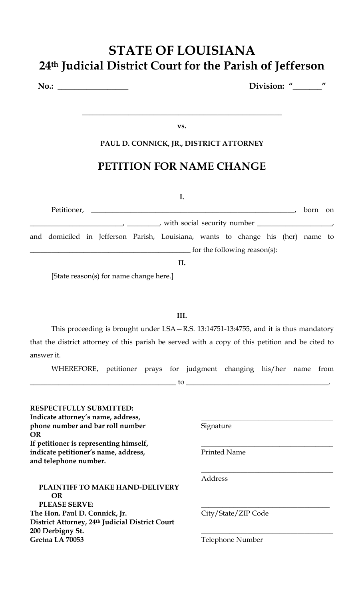## **STATE OF LOUISIANA 24th Judicial District Court for the Parish of Jefferson**

**No.: \_\_\_\_\_\_\_\_\_\_\_\_\_\_\_\_\_ Division: "\_\_\_\_\_\_\_"** 

**vs.** 

**\_\_\_\_\_\_\_\_\_\_\_\_\_\_\_\_\_\_\_\_\_\_\_\_\_\_\_\_\_\_\_\_\_\_\_\_\_\_\_\_\_\_\_\_\_\_\_\_\_\_\_\_\_\_\_\_**

#### **PAUL D. CONNICK, JR., DISTRICT ATTORNEY**

### **PETITION FOR NAME CHANGE**

| Petitioner, the contract of the contract of the contract of the contract of the contract of the contract of the contract of the contract of the contract of the contract of the contract of the contract of the contract of th | born on |  |
|--------------------------------------------------------------------------------------------------------------------------------------------------------------------------------------------------------------------------------|---------|--|
|                                                                                                                                                                                                                                |         |  |
| and domiciled in Jefferson Parish, Louisiana, wants to change his (her) name to                                                                                                                                                |         |  |
| for the following reason(s):                                                                                                                                                                                                   |         |  |
|                                                                                                                                                                                                                                |         |  |

[State reason(s) for name change here.]

#### **III.**

This proceeding is brought under LSA—R.S. 13:14751-13:4755, and it is thus mandatory that the district attorney of this parish be served with a copy of this petition and be cited to answer it.

WHEREFORE, petitioner prays for judgment changing his/her name from

\_\_\_\_\_\_\_\_\_\_\_\_\_\_\_\_\_\_\_\_\_\_\_\_\_\_\_\_\_\_\_\_\_\_\_\_\_\_\_\_\_ to \_\_\_\_\_\_\_\_\_\_\_\_\_\_\_\_\_\_\_\_\_\_\_\_\_\_\_\_\_\_\_\_\_\_\_\_\_\_\_\_.

| <b>RESPECTFULLY SUBMITTED:</b><br>Indicate attorney's name, address,<br>phone number and bar roll number<br><b>OR</b> | Signature           |
|-----------------------------------------------------------------------------------------------------------------------|---------------------|
| If petitioner is representing himself,                                                                                |                     |
| indicate petitioner's name, address,<br>and telephone number.                                                         | <b>Printed Name</b> |
|                                                                                                                       | Address             |
| <b>PLAINTIFF TO MAKE HAND-DELIVERY</b><br><b>OR</b><br><b>PLEASE SERVE:</b>                                           |                     |
| The Hon. Paul D. Connick, Jr.<br>District Attorney, 24th Judicial District Court<br>200 Derbigny St.                  | City/State/ZIP Code |
| Gretna LA 70053                                                                                                       | Telephone Number    |